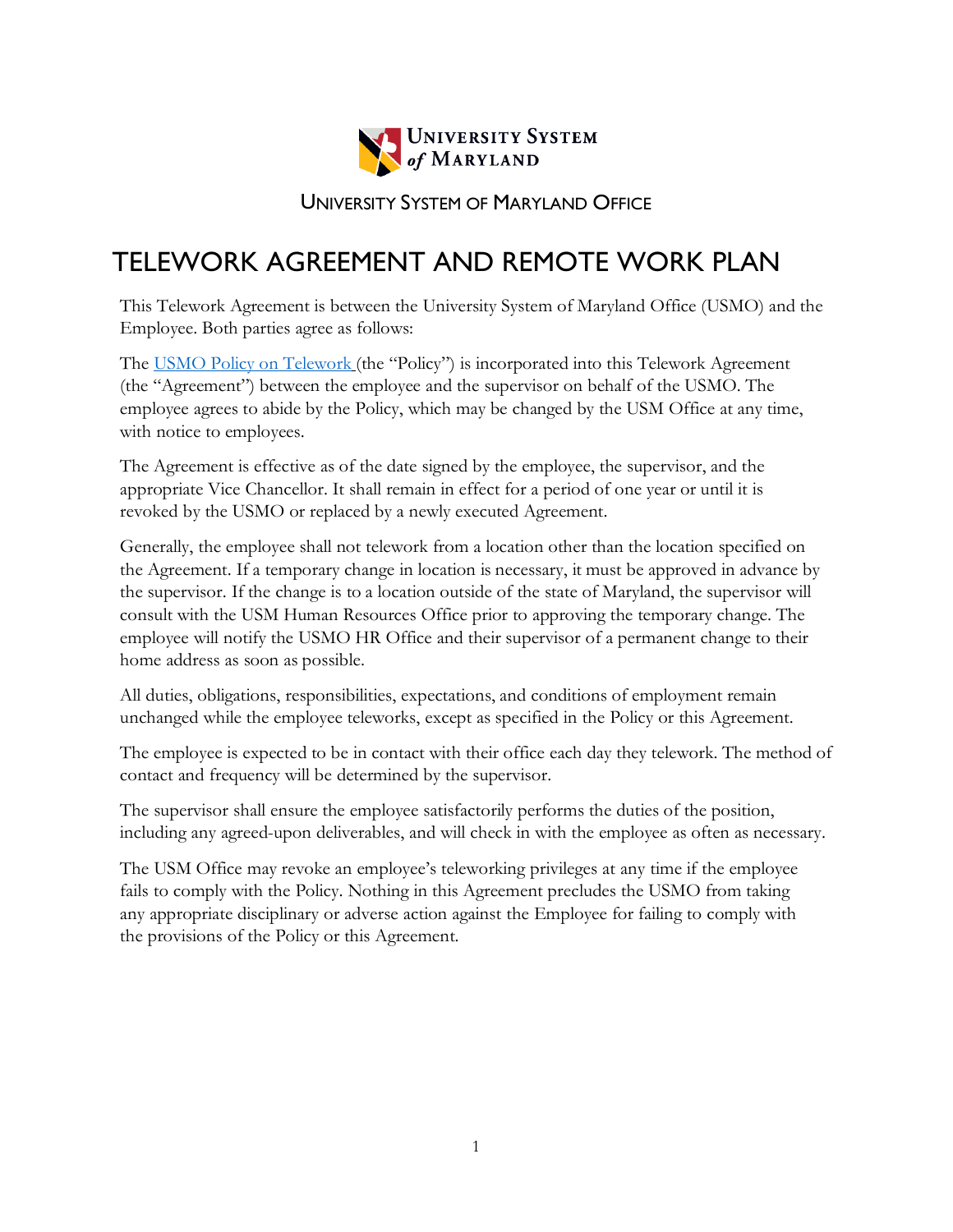

UNIVERSITY SYSTEM OF MARYLAND OFFICE

# TELEWORK AGREEMENT AND REMOTE WORK PLAN

This Telework Agreement is between the University System of Maryland Office (USMO) and the Employee. Both parties agree as follows:

The [USMO Policy on Telework](https://usmd.sharepoint.com/:b:/s/USMOIntranet/ER6wI5L9P_5Hj69cPKn1ySIBVHd9tOzCE3UOqR_BqpywxQ?e=OCLQBJ) (the "Policy") is incorporated into this Telework Agreement (the "Agreement") between the employee and the supervisor on behalf of the USMO. The employee agrees to abide by the Policy, which may be changed by the USM Office at any time, with notice to employees.

The Agreement is effective as of the date signed by the employee, the supervisor, and the appropriate Vice Chancellor. It shall remain in effect for a period of one year or until it is revoked by the USMO or replaced by a newly executed Agreement.

Generally, the employee shall not telework from a location other than the location specified on the Agreement. If a temporary change in location is necessary, it must be approved in advance by the supervisor. If the change is to a location outside of the state of Maryland, the supervisor will consult with the USM Human Resources Office prior to approving the temporary change. The employee will notify the USMO HR Office and their supervisor of a permanent change to their home address as soon as possible.

All duties, obligations, responsibilities, expectations, and conditions of employment remain unchanged while the employee teleworks, except as specified in the Policy or this Agreement.

The employee is expected to be in contact with their office each day they telework. The method of contact and frequency will be determined by the supervisor.

The supervisor shall ensure the employee satisfactorily performs the duties of the position, including any agreed-upon deliverables, and will check in with the employee as often as necessary.

The USM Office may revoke an employee's teleworking privileges at any time if the employee fails to comply with the Policy. Nothing in this Agreement precludes the USMO from taking any appropriate disciplinary or adverse action against the Employee for failing to comply with the provisions of the Policy or this Agreement.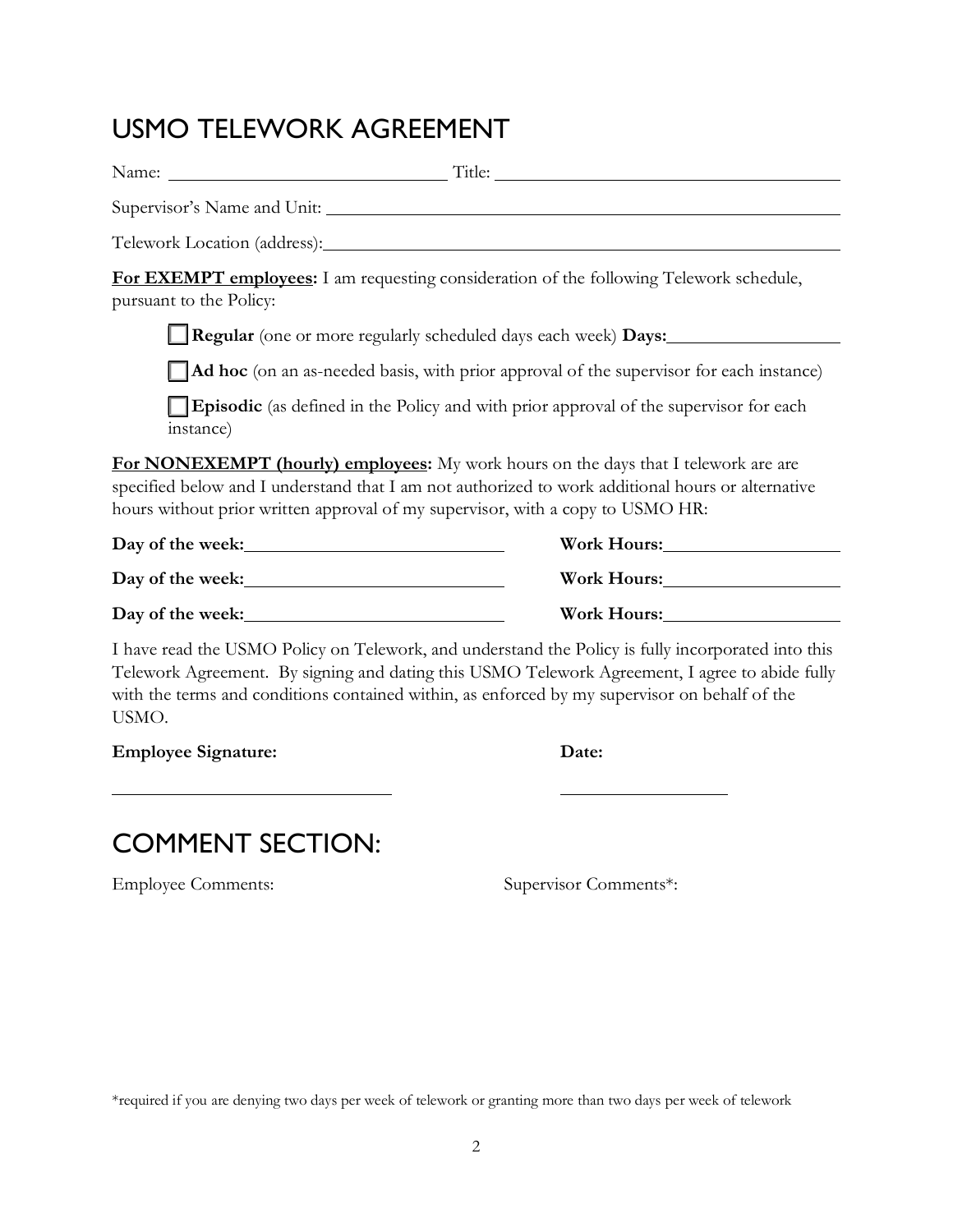# USMO TELEWORK AGREEMENT

| Telework Location (address):                                                                                                                                                                                                                                                      |                                                                                                                                                                                                                                                                                                       |
|-----------------------------------------------------------------------------------------------------------------------------------------------------------------------------------------------------------------------------------------------------------------------------------|-------------------------------------------------------------------------------------------------------------------------------------------------------------------------------------------------------------------------------------------------------------------------------------------------------|
| pursuant to the Policy:                                                                                                                                                                                                                                                           | <b>For EXEMPT employees:</b> I am requesting consideration of the following Telework schedule,                                                                                                                                                                                                        |
|                                                                                                                                                                                                                                                                                   | Regular (one or more regularly scheduled days each week) Days:                                                                                                                                                                                                                                        |
|                                                                                                                                                                                                                                                                                   | Ad hoc (on an as-needed basis, with prior approval of the supervisor for each instance)                                                                                                                                                                                                               |
| instance)                                                                                                                                                                                                                                                                         | Episodic (as defined in the Policy and with prior approval of the supervisor for each                                                                                                                                                                                                                 |
| <b>For NONEXEMPT</b> (hourly) employees: My work hours on the days that I telework are are<br>specified below and I understand that I am not authorized to work additional hours or alternative<br>hours without prior written approval of my supervisor, with a copy to USMO HR: |                                                                                                                                                                                                                                                                                                       |
|                                                                                                                                                                                                                                                                                   |                                                                                                                                                                                                                                                                                                       |
|                                                                                                                                                                                                                                                                                   |                                                                                                                                                                                                                                                                                                       |
|                                                                                                                                                                                                                                                                                   | Work Hours: North Months                                                                                                                                                                                                                                                                              |
| USMO.                                                                                                                                                                                                                                                                             | I have read the USMO Policy on Telework, and understand the Policy is fully incorporated into this<br>Telework Agreement. By signing and dating this USMO Telework Agreement, I agree to abide fully<br>with the terms and conditions contained within, as enforced by my supervisor on behalf of the |

| <b>Employee Signature:</b> | Date: |
|----------------------------|-------|
|----------------------------|-------|

| ÷ |
|---|
|---|

# COMMENT SECTION:

Employee Comments: Supervisor Comments\*:

\*required if you are denying two days per week of telework or granting more than two days per week of telework